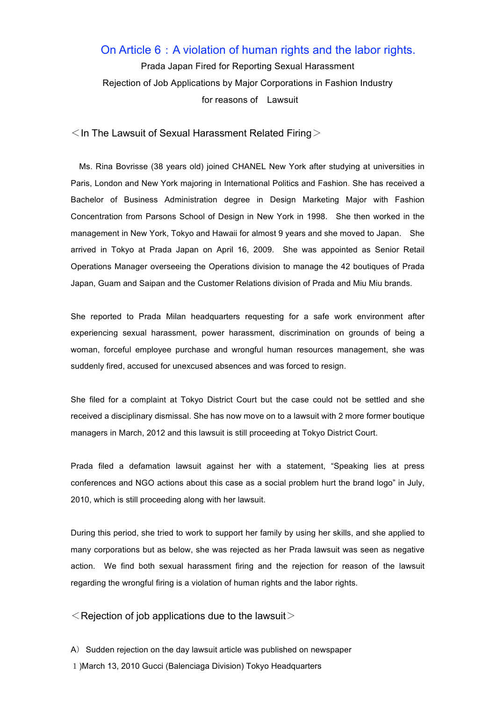## On Article 6: A violation of human rights and the labor rights.

Prada Japan Fired for Reporting Sexual Harassment Rejection of Job Applications by Major Corporations in Fashion Industry for reasons of Lawsuit

 $\leq$  In The Lawsuit of Sexual Harassment Related Firing  $\geq$ 

Ms. Rina Bovrisse (38 years old) joined CHANEL New York after studying at universities in Paris, London and New York majoring in International Politics and Fashion. She has received a Bachelor of Business Administration degree in Design Marketing Major with Fashion Concentration from Parsons School of Design in New York in 1998. She then worked in the management in New York, Tokyo and Hawaii for almost 9 years and she moved to Japan. She arrived in Tokyo at Prada Japan on April 16, 2009. She was appointed as Senior Retail Operations Manager overseeing the Operations division to manage the 42 boutiques of Prada Japan, Guam and Saipan and the Customer Relations division of Prada and Miu Miu brands.

She reported to Prada Milan headquarters requesting for a safe work environment after experiencing sexual harassment, power harassment, discrimination on grounds of being a woman, forceful employee purchase and wrongful human resources management, she was suddenly fired, accused for unexcused absences and was forced to resign.

She filed for a complaint at Tokyo District Court but the case could not be settled and she received a disciplinary dismissal. She has now move on to a lawsuit with 2 more former boutique managers in March, 2012 and this lawsuit is still proceeding at Tokyo District Court.

Prada filed a defamation lawsuit against her with a statement, "Speaking lies at press conferences and NGO actions about this case as a social problem hurt the brand logo" in July, 2010, which is still proceeding along with her lawsuit.

During this period, she tried to work to support her family by using her skills, and she applied to many corporations but as below, she was rejected as her Prada lawsuit was seen as negative action. We find both sexual harassment firing and the rejection for reason of the lawsuit regarding the wrongful firing is a violation of human rights and the labor rights.

 $\leq$  Rejection of job applications due to the lawsuit  $\geq$ 

A) Sudden rejection on the day lawsuit article was published on newspaper 1)March 13, 2010 Gucci (Balenciaga Division) Tokyo Headquarters